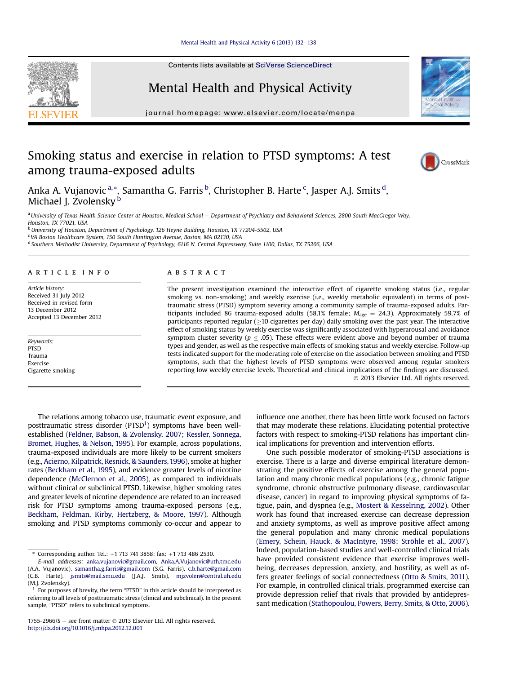#### Mental Health and Physical Activity  $6(2013)$  132-[138](http://dx.doi.org/10.1016/j.mhpa.2012.12.001)

Contents lists available at SciVerse ScienceDirect

# Mental Health and Physical Activity

journal homepage: [www.elsevier.com/locate/menpa](http://www.elsevier.com/locate/menpa)

# Smoking status and exercise in relation to PTSD symptoms: A test among trauma-exposed adults



a University of Texas Health Science Center at Houston, Medical School - Department of Psychiatry and Behavioral Sciences, 2800 South MacGregor Way, Houston, TX 77021, USA

<sup>b</sup> University of Houston, Department of Psychology, 126 Heyne Building, Houston, TX 77204-5502, USA

 $c$  VA Boston Healthcare System, 150 South Huntington Avenue, Boston, MA 02130, USA

<sup>d</sup> Southern Methodist University, Department of Psychology, 6116 N. Central Expressway, Suite 1100, Dallas, TX 75206, USA

## article info

Article history: Received 31 July 2012 Received in revised form 13 December 2012 Accepted 13 December 2012

Keywords: PTSD Trauma Exercise Cigarette smoking

# ABSTRACT

The present investigation examined the interactive effect of cigarette smoking status (i.e., regular smoking vs. non-smoking) and weekly exercise (i.e., weekly metabolic equivalent) in terms of posttraumatic stress (PTSD) symptom severity among a community sample of trauma-exposed adults. Participants included 86 trauma-exposed adults (58.1% female;  $M_{\text{age}} = 24.3$ ). Approximately 59.7% of  $\mathsf{partic}$  ipants reported regular ( $\geq$ 10 cigarettes per day) daily smoking over the past year. The interactive effect of smoking status by weekly exercise was significantly associated with hyperarousal and avoidance symptom cluster severity ( $p \le .05$ ). These effects were evident above and beyond number of trauma types and gender, as well as the respective main effects of smoking status and weekly exercise. Follow-up tests indicated support for the moderating role of exercise on the association between smoking and PTSD symptoms, such that the highest levels of PTSD symptoms were observed among regular smokers reporting low weekly exercise levels. Theoretical and clinical implications of the findings are discussed. 2013 Elsevier Ltd. All rights reserved.

The relations among tobacco use, traumatic event exposure, and posttraumatic stress disorder ( $PTSD<sup>1</sup>$ ) symptoms have been wellestablished ([Feldner, Babson, & Zvolensky, 2007;](#page-5-0) [Kessler, Sonnega,](#page-5-0) [Bromet, Hughes, & Nelson, 1995\)](#page-5-0). For example, across populations, trauma-exposed individuals are more likely to be current smokers (e.g., [Acierno, Kilpatrick, Resnick, & Saunders, 1996\)](#page-5-0), smoke at higher rates [\(Beckham et al., 1995\)](#page-5-0), and evidence greater levels of nicotine dependence [\(McClernon et al., 2005\)](#page-5-0), as compared to individuals without clinical or subclinical PTSD. Likewise, higher smoking rates and greater levels of nicotine dependence are related to an increased risk for PTSD symptoms among trauma-exposed persons (e.g., [Beckham, Feldman, Kirby, Hertzberg, & Moore, 1997\)](#page-5-0). Although smoking and PTSD symptoms commonly co-occur and appear to influence one another, there has been little work focused on factors that may moderate these relations. Elucidating potential protective factors with respect to smoking-PTSD relations has important clinical implications for prevention and intervention efforts.

One such possible moderator of smoking-PTSD associations is exercise. There is a large and diverse empirical literature demonstrating the positive effects of exercise among the general population and many chronic medical populations (e.g., chronic fatigue syndrome, chronic obstructive pulmonary disease, cardiovascular disease, cancer) in regard to improving physical symptoms of fatigue, pain, and dyspnea (e.g., [Mostert & Kesselring, 2002](#page-5-0)). Other work has found that increased exercise can decrease depression and anxiety symptoms, as well as improve positive affect among the general population and many chronic medical populations ([Emery, Schein, Hauck, & MacIntyre, 1998](#page-5-0); [Ströhle et al., 2007\)](#page-6-0). Indeed, population-based studies and well-controlled clinical trials have provided consistent evidence that exercise improves wellbeing, decreases depression, anxiety, and hostility, as well as offers greater feelings of social connectedness [\(Otto & Smits, 2011\)](#page-5-0). For example, in controlled clinical trials, programmed exercise can provide depression relief that rivals that provided by antidepressant medication ([Stathopoulou, Powers, Berry, Smits, & Otto, 2006\)](#page-6-0).







 $*$  Corresponding author. Tel.: +1 713 741 3858; fax: +1 713 486 2530.

E-mail addresses: [anka.vujanovic@gmail.com,](mailto:anka.vujanovic@gmail.com) [Anka.A.Vujanovic@uth.tmc.edu](mailto:Anka.A.Vujanovic@uth.tmc.edu) (A.A. Vujanovic), [samantha.g.farris@gmail.com](mailto:samantha.g.farris@gmail.com) (S.G. Farris), [c.b.harte@gmail.com](mailto:c.b.harte@gmail.com) (C.B. Harte), [jsmits@mail.smu.edu](mailto:jsmits@mail.smu.edu) (J.A.J. Smits), [mjzvolen@central.uh.edu](mailto:mjzvolen@central.uh.edu) (M.J. Zvolensky).

<sup>1</sup> For purposes of brevity, the term "PTSD" in this article should be interpreted as referring to all levels of posttraumatic stress (clinical and subclinical). In the present sample, "PTSD" refers to subclinical symptoms.

<sup>1755-2966/\$ -</sup> see front matter © 2013 Elsevier Ltd. All rights reserved. <http://dx.doi.org/10.1016/j.mhpa.2012.12.001>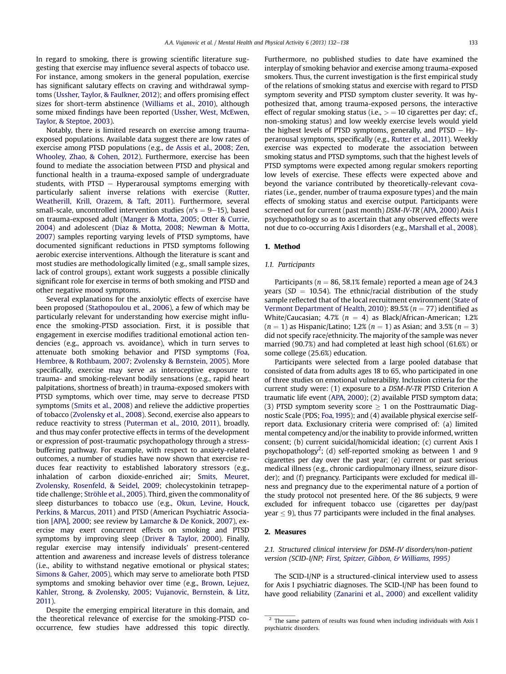In regard to smoking, there is growing scientific literature suggesting that exercise may influence several aspects of tobacco use. For instance, among smokers in the general population, exercise has significant salutary effects on craving and withdrawal symptoms [\(Ussher, Taylor, & Faulkner, 2012\)](#page-6-0); and offers promising effect sizes for short-term abstinence ([Williams et al., 2010](#page-6-0)), although some mixed findings have been reported [\(Ussher, West, McEwen,](#page-6-0) [Taylor, & Steptoe, 2003](#page-6-0)).

Notably, there is limited research on exercise among traumaexposed populations. Available data suggest there are low rates of exercise among PTSD populations (e.g., [de Assis et al., 2008;](#page-5-0) [Zen,](#page-6-0) [Whooley, Zhao, & Cohen, 2012\)](#page-6-0). Furthermore, exercise has been found to mediate the association between PTSD and physical and functional health in a trauma-exposed sample of undergraduate students, with  $PTSD - Hyperarousal$  symptoms emerging with particularly salient inverse relations with exercise ([Rutter,](#page-5-0) [Weatherill, Krill, Orazem, & Taft, 2011](#page-5-0)). Furthermore, several small-scale, uncontrolled intervention studies ( $n$ 's = 9–15), based on trauma-exposed adult ([Manger & Motta, 2005;](#page-5-0) [Otter & Currie,](#page-5-0) [2004\)](#page-5-0) and adolescent [\(Diaz & Motta, 2008;](#page-5-0) [Newman & Motta,](#page-5-0) [2007\)](#page-5-0) samples reporting varying levels of PTSD symptoms, have documented significant reductions in PTSD symptoms following aerobic exercise interventions. Although the literature is scant and most studies are methodologically limited (e.g., small sample sizes, lack of control groups), extant work suggests a possible clinically significant role for exercise in terms of both smoking and PTSD and other negative mood symptoms.

Several explanations for the anxiolytic effects of exercise have been proposed [\(Stathopoulou et al., 2006](#page-6-0)), a few of which may be particularly relevant for understanding how exercise might influence the smoking-PTSD association. First, it is possible that engagement in exercise modifies traditional emotional action tendencies (e.g., approach vs. avoidance), which in turn serves to attenuate both smoking behavior and PTSD symptoms ([Foa,](#page-5-0) [Hembree, & Rothbaum, 2007](#page-5-0); [Zvolensky & Bernstein, 2005](#page-6-0)). More specifically, exercise may serve as interoceptive exposure to trauma- and smoking-relevant bodily sensations (e.g., rapid heart palpitations, shortness of breath) in trauma-exposed smokers with PTSD symptoms, which over time, may serve to decrease PTSD symptoms [\(Smits et al., 2008\)](#page-6-0) and relieve the addictive properties of tobacco [\(Zvolensky et al., 2008\)](#page-6-0). Second, exercise also appears to reduce reactivity to stress [\(Puterman et al., 2010](#page-5-0), [2011](#page-5-0)), broadly, and thus may confer protective effects in terms of the development or expression of post-traumatic psychopathology through a stressbuffering pathway. For example, with respect to anxiety-related outcomes, a number of studies have now shown that exercise reduces fear reactivity to established laboratory stressors (e.g., inhalation of carbon dioxide-enriched air; [Smits, Meuret,](#page-6-0) [Zvolensky, Rosenfeld, & Seidel, 2009;](#page-6-0) cholecystokinin tetrapeptide challenge; [Ströhle et al., 2005](#page-6-0)). Third, given the commonality of sleep disturbances to tobacco use (e.g., [Okun, Levine, Houck,](#page-5-0) [Perkins, & Marcus, 2011\)](#page-5-0) and PTSD (American Psychiatric Association [\[APA\], 2000;](#page-5-0) see review by [Lamarche & De Konick, 2007](#page-5-0)), exercise may exert concurrent effects on smoking and PTSD symptoms by improving sleep ([Driver & Taylor, 2000\)](#page-5-0). Finally, regular exercise may intensify individuals' present-centered attention and awareness and increase levels of distress tolerance (i.e., ability to withstand negative emotional or physical states; [Simons & Gaher, 2005\)](#page-6-0), which may serve to ameliorate both PTSD symptoms and smoking behavior over time (e.g., [Brown, Lejuez,](#page-5-0) [Kahler, Strong, & Zvolensky, 2005](#page-5-0); [Vujanovic, Bernstein, & Litz,](#page-6-0) [2011](#page-6-0)).

Despite the emerging empirical literature in this domain, and the theoretical relevance of exercise for the smoking-PTSD cooccurrence, few studies have addressed this topic directly. Furthermore, no published studies to date have examined the interplay of smoking behavior and exercise among trauma-exposed smokers. Thus, the current investigation is the first empirical study of the relations of smoking status and exercise with regard to PTSD symptom severity and PTSD symptom cluster severity. It was hypothesized that, among trauma-exposed persons, the interactive effect of regular smoking status (i.e.,  $>$  = 10 cigarettes per day; cf., non-smoking status) and low weekly exercise levels would yield the highest levels of PTSD symptoms, generally, and PTSD  $-$  Hyperarousal symptoms, specifically (e.g., [Rutter et al., 2011](#page-5-0)). Weekly exercise was expected to moderate the association between smoking status and PTSD symptoms, such that the highest levels of PTSD symptoms were expected among regular smokers reporting low levels of exercise. These effects were expected above and beyond the variance contributed by theoretically-relevant covariates (i.e., gender, number of trauma exposure types) and the main effects of smoking status and exercise output. Participants were screened out for current (past month) DSM-IV-TR ([APA, 2000](#page-5-0)) Axis I psychopathology so as to ascertain that any observed effects were not due to co-occurring Axis I disorders (e.g., [Marshall et al., 2008\)](#page-5-0).

#### 1. Method

#### 1.1. Participants

Participants ( $n = 86, 58.1\%$  female) reported a mean age of 24.3 years ( $SD = 10.54$ ). The ethnic/racial distribution of the study sample reflected that of the local recruitment environment ([State of](#page-6-0) [Vermont Department of Health, 2010\)](#page-6-0): 89.5% ( $n = 77$ ) identified as White/Caucasian; 4.7% ( $n = 4$ ) as Black/African-American; 1.2%  $(n = 1)$  as Hispanic/Latino; 1.2%  $(n = 1)$  as Asian; and 3.5%  $(n = 3)$ did not specify race/ethnicity. The majority of the sample was never married (90.7%) and had completed at least high school (61.6%) or some college (25.6%) education.

Participants were selected from a large pooled database that consisted of data from adults ages 18 to 65, who participated in one of three studies on emotional vulnerability. Inclusion criteria for the current study were: (1) exposure to a DSM-IV-TR PTSD Criterion A traumatic life event ([APA, 2000](#page-5-0)); (2) available PTSD symptom data; (3) PTSD symptom severity score  $\geq 1$  on the Posttraumatic Diagnostic Scale (PDS; [Foa, 1995\)](#page-5-0); and (4) available physical exercise selfreport data. Exclusionary criteria were comprised of: (a) limited mental competency and/or the inability to provide informed, written consent; (b) current suicidal/homicidal ideation; (c) current Axis I psychopathology<sup>2</sup>; (d) self-reported smoking as between 1 and 9 cigarettes per day over the past year; (e) current or past serious medical illness (e.g., chronic cardiopulmonary illness, seizure disorder); and (f) pregnancy. Participants were excluded for medical illness and pregnancy due to the experimental nature of a portion of the study protocol not presented here. Of the 86 subjects, 9 were excluded for infrequent tobacco use (cigarettes per day/past year  $\leq$  9), thus 77 participants were included in the final analyses.

## 2. Measures

# 2.1. Structured clinical interview for DSM-IV disorders/non-patient version (SCID-I/NP; [First, Spitzer, Gibbon, & Williams, 1995\)](#page-5-0)

The SCID-I/NP is a structured-clinical interview used to assess for Axis I psychiatric diagnoses. The SCID-I/NP has been found to have good reliability [\(Zanarini et al., 2000](#page-6-0)) and excellent validity

<sup>&</sup>lt;sup>2</sup> The same pattern of results was found when including individuals with Axis I psychiatric disorders.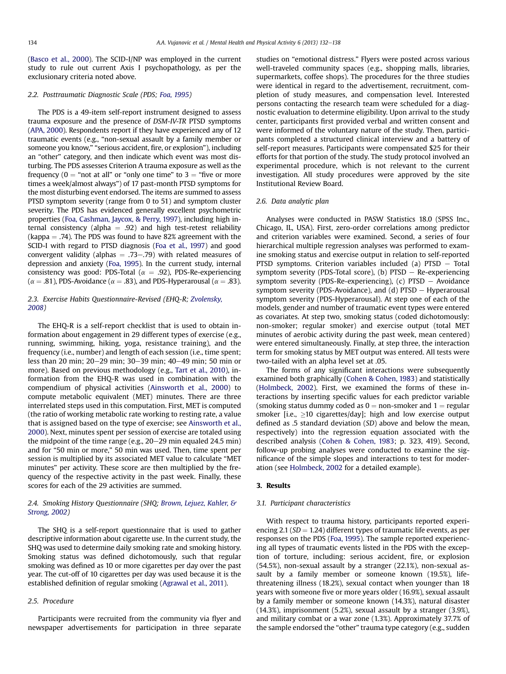([Basco et al., 2000\)](#page-5-0). The SCID-I/NP was employed in the current study to rule out current Axis I psychopathology, as per the exclusionary criteria noted above.

## 2.2. Posttraumatic Diagnostic Scale (PDS; [Foa, 1995\)](#page-5-0)

The PDS is a 49-item self-report instrument designed to assess trauma exposure and the presence of DSM-IV-TR PTSD symptoms ([APA, 2000](#page-5-0)). Respondents report if they have experienced any of 12 traumatic events (e.g., "non-sexual assault by a family member or someone you know," "serious accident, fire, or explosion"), including an "other" category, and then indicate which event was most disturbing. The PDS assesses Criterion A trauma exposure as well as the frequency ( $0 =$  "not at all" or "only one time" to  $3 =$  "five or more times a week/almost always") of 17 past-month PTSD symptoms for the most disturbing event endorsed. The items are summed to assess PTSD symptom severity (range from 0 to 51) and symptom cluster severity. The PDS has evidenced generally excellent psychometric properties [\(Foa, Cashman, Jaycox, & Perry, 1997](#page-5-0)), including high internal consistency (alpha  $= .92$ ) and high test-retest reliability (kappa  $=$  .74). The PDS was found to have 82% agreement with the SCID-I with regard to PTSD diagnosis [\(Foa et al., 1997](#page-5-0)) and good convergent validity (alphas  $= .73 - .79$ ) with related measures of depression and anxiety [\(Foa, 1995\)](#page-5-0). In the current study, internal consistency was good: PDS-Total ( $\alpha = .92$ ), PDS-Re-experiencing ( $\alpha$  = .81), PDS-Avoidance ( $\alpha$  = .83), and PDS-Hyperarousal ( $\alpha$  = .83).

# 2.3. Exercise Habits Questionnaire-Revised (EHQ-R; [Zvolensky,](#page-6-0) [2008](#page-6-0))

The EHQ-R is a self-report checklist that is used to obtain information about engagement in 29 different types of exercise (e.g., running, swimming, hiking, yoga, resistance training), and the frequency (i.e., number) and length of each session (i.e., time spent; less than 20 min;  $20-29$  min;  $30-39$  min;  $40-49$  min; 50 min or more). Based on previous methodology (e.g., [Tart et al., 2010](#page-6-0)), information from the EHQ-R was used in combination with the compendium of physical activities [\(Ainsworth et al., 2000](#page-5-0)) to compute metabolic equivalent (MET) minutes. There are three interrelated steps used in this computation. First, MET is computed (the ratio of working metabolic rate working to resting rate, a value that is assigned based on the type of exercise; see [Ainsworth et al.,](#page-5-0) [2000](#page-5-0)). Next, minutes spent per session of exercise are totaled using the midpoint of the time range (e.g.,  $20-29$  min equaled 24.5 min) and for "50 min or more," 50 min was used. Then, time spent per session is multiplied by its associated MET value to calculate "MET minutes" per activity. These score are then multiplied by the frequency of the respective activity in the past week. Finally, these scores for each of the 29 activities are summed.

# 2.4. Smoking History Questionnaire (SHQ; [Brown, Lejuez, Kahler, &](#page-5-0) [Strong, 2002](#page-5-0))

The SHQ is a self-report questionnaire that is used to gather descriptive information about cigarette use. In the current study, the SHQ was used to determine daily smoking rate and smoking history. Smoking status was defined dichotomously, such that regular smoking was defined as 10 or more cigarettes per day over the past year. The cut-off of 10 cigarettes per day was used because it is the established definition of regular smoking [\(Agrawal et al., 2011\)](#page-5-0).

## 2.5. Procedure

Participants were recruited from the community via flyer and newspaper advertisements for participation in three separate studies on "emotional distress." Flyers were posted across various well-traveled community spaces (e.g., shopping malls, libraries, supermarkets, coffee shops). The procedures for the three studies were identical in regard to the advertisement, recruitment, completion of study measures, and compensation level. Interested persons contacting the research team were scheduled for a diagnostic evaluation to determine eligibility. Upon arrival to the study center, participants first provided verbal and written consent and were informed of the voluntary nature of the study. Then, participants completed a structured clinical interview and a battery of self-report measures. Participants were compensated \$25 for their efforts for that portion of the study. The study protocol involved an experimental procedure, which is not relevant to the current investigation. All study procedures were approved by the site Institutional Review Board.

#### 2.6. Data analytic plan

Analyses were conducted in PASW Statistics 18.0 (SPSS Inc., Chicago, IL, USA). First, zero-order correlations among predictor and criterion variables were examined. Second, a series of four hierarchical multiple regression analyses was performed to examine smoking status and exercise output in relation to self-reported PTSD symptoms. Criterion variables included (a)  $PTSD - Total$ symptom severity (PDS-Total score), (b)  $PTSD - Re$ -experiencing symptom severity (PDS-Re-experiencing), (c)  $PTSD - Avoidance$ symptom severity (PDS-Avoidance), and  $(d)$  PTSD  $-$  Hyperarousal symptom severity (PDS-Hyperarousal). At step one of each of the models, gender and number of traumatic event types were entered as covariates. At step two, smoking status (coded dichotomously: non-smoker; regular smoker) and exercise output (total MET minutes of aerobic activity during the past week, mean centered) were entered simultaneously. Finally, at step three, the interaction term for smoking status by MET output was entered. All tests were two-tailed with an alpha level set at .05.

The forms of any significant interactions were subsequently examined both graphically [\(Cohen & Cohen, 1983](#page-5-0)) and statistically ([Holmbeck, 2002](#page-5-0)). First, we examined the forms of these interactions by inserting specific values for each predictor variable (smoking status dummy coded as  $0 =$  non-smoker and  $1 =$  regular smoker [i.e.,  $\geq$ 10 cigarettes/day]; high and low exercise output defined as .5 standard deviation (SD) above and below the mean, respectively) into the regression equation associated with the described analysis [\(Cohen & Cohen, 1983](#page-5-0); p. 323, 419). Second, follow-up probing analyses were conducted to examine the significance of the simple slopes and interactions to test for moderation (see [Holmbeck, 2002](#page-5-0) for a detailed example).

## 3. Results

## 3.1. Participant characteristics

With respect to trauma history, participants reported experiencing 2.1 ( $SD = 1.24$ ) different types of traumatic life events, as per responses on the PDS ([Foa, 1995](#page-5-0)). The sample reported experiencing all types of traumatic events listed in the PDS with the exception of torture, including: serious accident, fire, or explosion (54.5%), non-sexual assault by a stranger (22.1%), non-sexual assault by a family member or someone known (19.5%), lifethreatening illness (18.2%), sexual contact when younger than 18 years with someone five or more years older (16.9%), sexual assault by a family member or someone known (14.3%), natural disaster (14.3%), imprisonment (5.2%), sexual assault by a stranger (3.9%), and military combat or a war zone (1.3%). Approximately 37.7% of the sample endorsed the "other" trauma type category (e.g., sudden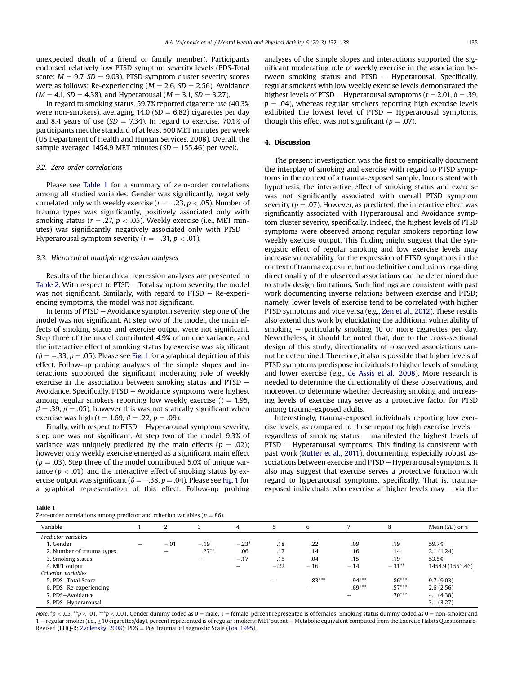unexpected death of a friend or family member). Participants endorsed relatively low PTSD symptom severity levels (PDS-Total score:  $M = 9.7$ ,  $SD = 9.03$ ). PTSD symptom cluster severity scores were as follows: Re-experiencing ( $M = 2.6$ ,  $SD = 2.56$ ), Avoidance  $(M = 4.1, SD = 4.38)$ , and Hyperarousal  $(M = 3.1, SD = 3.27)$ .

In regard to smoking status, 59.7% reported cigarette use (40.3% were non-smokers), averaging  $14.0$  (SD = 6.82) cigarettes per day and 8.4 years of use ( $SD = 7.34$ ). In regard to exercise, 70.1% of participants met the standard of at least 500 MET minutes per week (US Department of Health and Human Services, 2008). Overall, the sample averaged 1454.9 MET minutes ( $SD = 155.46$ ) per week.

## 3.2. Zero-order correlations

Please see Table 1 for a summary of zero-order correlations among all studied variables. Gender was significantly, negatively correlated only with weekly exercise ( $r = -.23$ ,  $p < .05$ ). Number of trauma types was significantly, positively associated only with smoking status ( $r = .27$ ,  $p < .05$ ). Weekly exercise (i.e., MET minutes) was significantly, negatively associated only with PTSD  $-$ Hyperarousal symptom severity ( $r = -.31$ ,  $p < .01$ ).

## 3.3. Hierarchical multiple regression analyses

Results of the hierarchical regression analyses are presented in [Table 2](#page-4-0). With respect to  $PTSD - Total$  symptom severity, the model was not significant. Similarly, with regard to  $PTSD - Re$ -experiencing symptoms, the model was not significant.

In terms of  $PTSD - Avoidance$  symptom severity, step one of the model was not significant. At step two of the model, the main effects of smoking status and exercise output were not significant. Step three of the model contributed 4.9% of unique variance, and the interactive effect of smoking status by exercise was significant  $(\beta = -.33, p = .05)$ . Please see [Fig. 1](#page-4-0) for a graphical depiction of this effect. Follow-up probing analyses of the simple slopes and interactions supported the significant moderating role of weekly exercise in the association between smoking status and PTSD  $-$ Avoidance. Specifically,  $PTSD - Avoidance$  symptoms were highest among regular smokers reporting low weekly exercise ( $t = 1.95$ ,  $\beta = .39$ ,  $p = .05$ ), however this was not statically significant when exercise was high ( $t = 1.69$ ,  $\beta = .22$ ,  $p = .09$ ).

Finally, with respect to  $PTSD - Hv$  per arousal symptom severity. step one was not significant. At step two of the model, 9.3% of variance was uniquely predicted by the main effects ( $p = .02$ ); however only weekly exercise emerged as a significant main effect  $(p = .03)$ . Step three of the model contributed 5.0% of unique variance ( $p < .01$ ), and the interactive effect of smoking status by exercise output was significant ( $\beta = -.38$ ,  $p = .04$ ). Please see [Fig. 1](#page-4-0) for a graphical representation of this effect. Follow-up probing analyses of the simple slopes and interactions supported the significant moderating role of weekly exercise in the association between smoking status and  $PTSD - Hyperarousal$ . Specifically, regular smokers with low weekly exercise levels demonstrated the highest levels of PTSD – Hyperarousal symptoms ( $t = 2.01$ ,  $\beta = .39$ ,  $p = .04$ ), whereas regular smokers reporting high exercise levels exhibited the lowest level of  $PTSD - Hyperarousal$  symptoms, though this effect was not significant ( $p = .07$ ).

#### 4. Discussion

The present investigation was the first to empirically document the interplay of smoking and exercise with regard to PTSD symptoms in the context of a trauma-exposed sample. Inconsistent with hypothesis, the interactive effect of smoking status and exercise was not significantly associated with overall PTSD symptom severity ( $p = .07$ ). However, as predicted, the interactive effect was significantly associated with Hyperarousal and Avoidance symptom cluster severity, specifically. Indeed, the highest levels of PTSD symptoms were observed among regular smokers reporting low weekly exercise output. This finding might suggest that the synergistic effect of regular smoking and low exercise levels may increase vulnerability for the expression of PTSD symptoms in the context of trauma exposure, but no definitive conclusions regarding directionality of the observed associations can be determined due to study design limitations. Such findings are consistent with past work documenting inverse relations between exercise and PTSD; namely, lower levels of exercise tend to be correlated with higher PTSD symptoms and vice versa (e.g., [Zen et al., 2012](#page-6-0)). These results also extend this work by elucidating the additional vulnerability of smoking  $-$  particularly smoking 10 or more cigarettes per day. Nevertheless, it should be noted that, due to the cross-sectional design of this study, directionality of observed associations cannot be determined. Therefore, it also is possible that higher levels of PTSD symptoms predispose individuals to higher levels of smoking and lower exercise (e.g., [de Assis et al., 2008\)](#page-5-0). More research is needed to determine the directionality of these observations, and moreover, to determine whether decreasing smoking and increasing levels of exercise may serve as a protective factor for PTSD among trauma-exposed adults.

Interestingly, trauma-exposed individuals reporting low exercise levels, as compared to those reporting high exercise levels  $$ regardless of smoking status  $-$  manifested the highest levels of  $PTSD - Hyperarousal symptoms. This finding is consistent with$ past work ([Rutter et al., 2011](#page-5-0)), documenting especially robust associations between exercise and PTSD - Hyperarousal symptoms. It also may suggest that exercise serves a protective function with regard to hyperarousal symptoms, specifically. That is, traumaexposed individuals who exercise at higher levels may  $-$  via the

Table 1

| Zero-order correlations among predictor and criterion variables ( $n = 86$ ). |  |
|-------------------------------------------------------------------------------|--|
|-------------------------------------------------------------------------------|--|

| $\alpha$ - $\alpha$ - $\alpha$ - $\alpha$ - $\alpha$ - $\alpha$ - $\alpha$ - $\alpha$ - $\alpha$ - $\alpha$ - $\alpha$ - $\alpha$ - $\alpha$ - $\alpha$ - $\alpha$ - $\alpha$ - $\alpha$ - $\alpha$ - $\alpha$ - $\alpha$ - $\alpha$ - $\alpha$ - $\alpha$ - $\alpha$ - $\alpha$ - $\alpha$ - $\alpha$ - $\alpha$ - $\alpha$ - $\alpha$ - $\alpha$ - $\alpha$ |   |        |          |                          |        |          |          |           |                    |
|---------------------------------------------------------------------------------------------------------------------------------------------------------------------------------------------------------------------------------------------------------------------------------------------------------------------------------------------------------------|---|--------|----------|--------------------------|--------|----------|----------|-----------|--------------------|
| Variable                                                                                                                                                                                                                                                                                                                                                      |   |        |          | 4                        | h      | 6        |          | 8         | Mean $(SD)$ or $%$ |
| Predictor variables                                                                                                                                                                                                                                                                                                                                           |   |        |          |                          |        |          |          |           |                    |
| 1. Gender                                                                                                                                                                                                                                                                                                                                                     | - | $-.01$ | $-.19$   | $-.23*$                  | .18    | .22      | .09      | .19       | 59.7%              |
| 2. Number of trauma types                                                                                                                                                                                                                                                                                                                                     |   |        | $.27***$ | .06                      | .17    | .14      | .16      | .14       | 2.1(1.24)          |
| 3. Smoking status                                                                                                                                                                                                                                                                                                                                             |   |        | -        | $-.17$                   | .15    | .04      | .15      | .19       | 53.5%              |
| 4. MET output                                                                                                                                                                                                                                                                                                                                                 |   |        |          | $\overline{\phantom{0}}$ | $-.22$ | $-.16$   | $-.14$   | $-.31***$ | 1454.9 (1553.46)   |
| Criterion variables                                                                                                                                                                                                                                                                                                                                           |   |        |          |                          |        |          |          |           |                    |
| 5. PDS-Total Score                                                                                                                                                                                                                                                                                                                                            |   |        |          |                          |        | $.83***$ | $.94***$ | $.86***$  | 9.7(9.03)          |
| 6. PDS-Re-experiencing                                                                                                                                                                                                                                                                                                                                        |   |        |          |                          |        |          | $.69***$ | $.57***$  | 2.6(2.56)          |
| 7. PDS-Avoidance                                                                                                                                                                                                                                                                                                                                              |   |        |          |                          |        |          |          | $.70***$  | 4.1(4.38)          |
| 8. PDS-Hyperarousal                                                                                                                                                                                                                                                                                                                                           |   |        |          |                          |        |          |          |           | 3.1(3.27)          |

Note. \*p < .05, \*\*p < .01, \*\*\*p < .001. Gender dummy coded as  $0 =$  male, 1 = female, percent represented is of females; Smoking status dummy coded as  $0 =$  non-smoker and  $1$  = regular smoker (i.e.,  $\geq$  10 cigarettes/day), percent represented is of regular smokers; MET output = Metabolic equivalent computed from the Exercise Habits Questionnaire-Revised (EHQ-R; [Zvolensky, 2008\)](#page-6-0); PDS = Posttraumatic Diagnostic Scale ([Foa, 1995](#page-5-0)).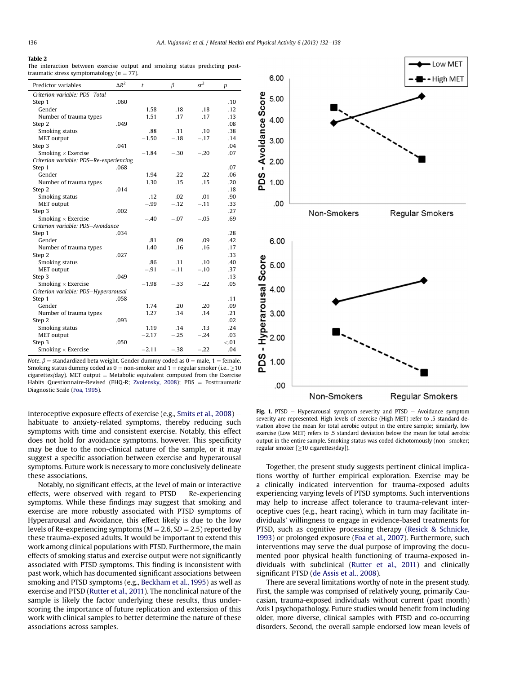#### <span id="page-4-0"></span>Table 2

The interaction between exercise output and smoking status predicting posttraumatic stress symptomatology ( $n = 77$ ).

| Criterion variable: PDS-Total<br>.060<br>Step 1<br>Gender<br>1.58<br>.18<br>.18<br>1.51<br>.17<br>Number of trauma types<br>.17<br>.049<br>Step 2<br>Smoking status<br>.88<br>.11<br>.10<br>$-.18$<br>$-.17$<br><b>MET</b> output<br>$-1.50$<br>.041<br>Step 3 | $sr^2$<br>$\beta$<br>p |
|----------------------------------------------------------------------------------------------------------------------------------------------------------------------------------------------------------------------------------------------------------------|------------------------|
|                                                                                                                                                                                                                                                                |                        |
|                                                                                                                                                                                                                                                                | .10                    |
|                                                                                                                                                                                                                                                                | .12                    |
|                                                                                                                                                                                                                                                                | .13                    |
|                                                                                                                                                                                                                                                                | .08                    |
|                                                                                                                                                                                                                                                                | .38                    |
|                                                                                                                                                                                                                                                                | .14                    |
|                                                                                                                                                                                                                                                                | .04                    |
| Smoking $\times$ Exercise<br>$-.30$<br>$-.20$<br>$-1.84$                                                                                                                                                                                                       | .07                    |
| Criterion variable: PDS-Re-experiencing                                                                                                                                                                                                                        |                        |
| .068<br>Step 1                                                                                                                                                                                                                                                 | .07                    |
| Gender<br>1.94<br>.22<br>.22                                                                                                                                                                                                                                   | .06                    |
| 1.30<br>.15<br>.15<br>Number of trauma types                                                                                                                                                                                                                   | .20                    |
| .014<br>Step 2                                                                                                                                                                                                                                                 | .18                    |
| Smoking status<br>.02<br>.12<br>.01                                                                                                                                                                                                                            | .90                    |
| <b>MET</b> output<br>$-.99$<br>$-.12$<br>$-.11$                                                                                                                                                                                                                | .33                    |
| .002<br>Step 3                                                                                                                                                                                                                                                 | .27                    |
| Smoking $\times$ Exercise<br>$-.40$<br>$-.07$<br>$-.05$                                                                                                                                                                                                        | .69                    |
| Criterion variable: PDS-Avoidance                                                                                                                                                                                                                              |                        |
| Step 1<br>.034                                                                                                                                                                                                                                                 | .28                    |
| Gender<br>.81<br>.09<br>.09                                                                                                                                                                                                                                    | .42                    |
| Number of trauma types<br>1.40<br>.16<br>.16                                                                                                                                                                                                                   | .17                    |
| .027<br>Step 2                                                                                                                                                                                                                                                 | .33                    |
| Smoking status<br>.86<br>.11<br>.10                                                                                                                                                                                                                            | .40                    |
| $-.11$<br><b>MET</b> output<br>$-.91$<br>$-.10$                                                                                                                                                                                                                | .37                    |
| Step 3<br>.049                                                                                                                                                                                                                                                 | .13                    |
| $-.33$<br>Smoking $\times$ Exercise<br>$-1.98$<br>$-.22$                                                                                                                                                                                                       | .05                    |
| Criterion variable: PDS-Hyperarousal                                                                                                                                                                                                                           |                        |
| Step 1<br>.058                                                                                                                                                                                                                                                 | .11                    |
| Gender<br>.20<br>.20<br>1.74                                                                                                                                                                                                                                   | .09                    |
| Number of trauma types<br>1.27<br>.14<br>.14                                                                                                                                                                                                                   | .21                    |
| Step 2<br>.093                                                                                                                                                                                                                                                 | .02                    |
| Smoking status<br>1.19<br>.13<br>.14                                                                                                                                                                                                                           | .24                    |
| $-.25$<br>$-.24$<br><b>MET</b> output<br>$-2.17$                                                                                                                                                                                                               | .03                    |
| Step 3<br>.050                                                                                                                                                                                                                                                 | < 0.01                 |
| Smoking $\times$ Exercise<br>$-2.11$<br>$-.38$<br>$-.22$                                                                                                                                                                                                       | .04                    |

*Note.*  $\beta$  = standardized beta weight. Gender dummy coded as 0 = male, 1 = female. Smoking status dummy coded as  $0 =$  non-smoker and  $1 =$  regular smoker (i.e.,  $\geq$ 10  $cigarettes/day$ ). MET output = Metabolic equivalent computed from the Exercise Habits Questionnaire-Revised (EHQ-R; [Zvolensky, 2008](#page-6-0)); PDS = Posttraumatic Diagnostic Scale [\(Foa, 1995](#page-5-0)).

interoceptive exposure effects of exercise (e.g., Smits et al.,  $2008$ ) – habituate to anxiety-related symptoms, thereby reducing such symptoms with time and consistent exercise. Notably, this effect does not hold for avoidance symptoms, however. This specificity may be due to the non-clinical nature of the sample, or it may suggest a specific association between exercise and hyperarousal symptoms. Future work is necessary to more conclusively delineate these associations.

Notably, no significant effects, at the level of main or interactive effects, were observed with regard to  $PTSD - Re$ -experiencing symptoms. While these findings may suggest that smoking and exercise are more robustly associated with PTSD symptoms of Hyperarousal and Avoidance, this effect likely is due to the low levels of Re-experiencing symptoms ( $M = 2.6$ ,  $SD = 2.5$ ) reported by these trauma-exposed adults. It would be important to extend this work among clinical populations with PTSD. Furthermore, the main effects of smoking status and exercise output were not significantly associated with PTSD symptoms. This finding is inconsistent with past work, which has documented significant associations between smoking and PTSD symptoms (e.g., [Beckham et al., 1995\)](#page-5-0) as well as exercise and PTSD [\(Rutter et al., 2011\)](#page-5-0). The nonclinical nature of the sample is likely the factor underlying these results, thus underscoring the importance of future replication and extension of this work with clinical samples to better determine the nature of these associations across samples.



Fig. 1. PTSD  $-$  Hyperarousal symptom severity and PTSD  $-$  Avoidance symptom severity are represented. High levels of exercise (High MET) refer to .5 standard deviation above the mean for total aerobic output in the entire sample; similarly, low exercise (Low MET) refers to .5 standard deviation below the mean for total aerobic output in the entire sample. Smoking status was coded dichotomously (non-smoker;  $regular$  smoker  $[ \geq 10$  cigarettes/day]).

Together, the present study suggests pertinent clinical implications worthy of further empirical exploration. Exercise may be a clinically indicated intervention for trauma-exposed adults experiencing varying levels of PTSD symptoms. Such interventions may help to increase affect tolerance to trauma-relevant interoceptive cues (e.g., heart racing), which in turn may facilitate individuals' willingness to engage in evidence-based treatments for PTSD, such as cognitive processing therapy [\(Resick & Schnicke,](#page-5-0) [1993](#page-5-0)) or prolonged exposure ([Foa et al., 2007\)](#page-5-0). Furthermore, such interventions may serve the dual purpose of improving the documented poor physical health functioning of trauma-exposed individuals with subclinical ([Rutter et al., 2011\)](#page-5-0) and clinically significant PTSD [\(de Assis et al., 2008](#page-5-0)).

There are several limitations worthy of note in the present study. First, the sample was comprised of relatively young, primarily Caucasian, trauma-exposed individuals without current (past month) Axis I psychopathology. Future studies would benefit from including older, more diverse, clinical samples with PTSD and co-occurring disorders. Second, the overall sample endorsed low mean levels of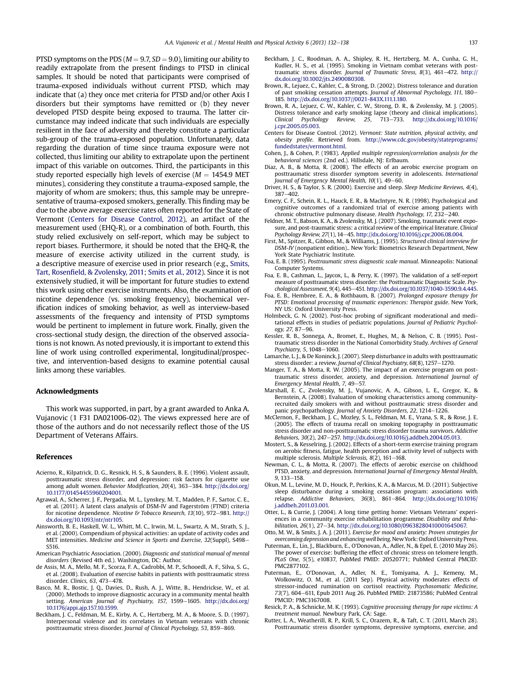<span id="page-5-0"></span>PTSD symptoms on the PDS ( $M = 9.7$ ,  $SD = 9.0$ ), limiting our ability to readily extrapolate from the present findings to PTSD in clinical samples. It should be noted that participants were comprised of trauma-exposed individuals without current PTSD, which may indicate that (a) they once met criteria for PTSD and/or other Axis I disorders but their symptoms have remitted or (b) they never developed PTSD despite being exposed to trauma. The latter circumstance may indeed indicate that such individuals are especially resilient in the face of adversity and thereby constitute a particular sub-group of the trauma-exposed population. Unfortunately, data regarding the duration of time since trauma exposure were not collected, thus limiting our ability to extrapolate upon the pertinent impact of this variable on outcomes. Third, the participants in this study reported especially high levels of exercise ( $M = 1454.9$  MET minutes), considering they constitute a trauma-exposed sample, the majority of whom are smokers; thus, this sample may be unrepresentative of trauma-exposed smokers, generally. This finding may be due to the above average exercise rates often reported for the State of Vermont (Centers for Disease Control, 2012), an artifact of the measurement used (EHQ-R), or a combination of both. Fourth, this study relied exclusively on self-report, which may be subject to report biases. Furthermore, it should be noted that the EHQ-R, the measure of exercise activity utilized in the current study, is a descriptive measure of exercise used in prior research (e.g., [Smits,](#page-6-0) Tart, Rosenfi[eld, & Zvolensky, 2011;](#page-6-0) [Smits et al., 2012\)](#page-6-0). Since it is not extensively studied, it will be important for future studies to extend this work using other exercise instruments. Also, the examination of nicotine dependence (vs. smoking frequency), biochemical verification indices of smoking behavior, as well as interview-based assessments of the frequency and intensity of PTSD symptoms would be pertinent to implement in future work. Finally, given the cross-sectional study design, the direction of the observed associations is not known. As noted previously, it is important to extend this line of work using controlled experimental, longitudinal/prospective, and intervention-based designs to examine potential causal links among these variables.

# Acknowledgments

This work was supported, in part, by a grant awarded to Anka A. Vujanovic (1 F31 DA021006-02). The views expressed here are of those of the authors and do not necessarily reflect those of the US Department of Veterans Affairs.

#### References

- Acierno, R., Kilpatrick, D. G., Resnick, H. S., & Saunders, B. E. (1996). Violent assault, posttraumatic stress disorder, and depression: risk factors for cigarette use among adult women. Behavior Modification, 20(4), 363-384. [http://dx.doi.org/](http://dx.doi.org/10.1177/01454455960204001) [10.1177/01454455960204001.](http://dx.doi.org/10.1177/01454455960204001)
- Agrawal, A., Scherrer, J. F., Pergadia, M. L., Lynskey, M. T., Madden, P. F., Sartor, C. E., et al. (2011). A latent class analysis of DSM-IV and Fagerström (FTND) criteria for nicotine dependence. Nicotine & Tobacco Research, 13(10), 972-981. [http://](http://dx.doi.org/10.1093/ntr/ntr105) [dx.doi.org/10.1093/ntr/ntr105.](http://dx.doi.org/10.1093/ntr/ntr105)
- Ainsworth, B. E., Haskell, W. L., Whitt, M. C., Irwin, M. L., Swartz, A. M., Strath, S. J., et al. (2000). Compendium of physical activities: an update of activity codes and MET intensities. Medicine and Science in Sports and Exercise, 32(Suppl), S498-S516.
- American Psychiatric Association. (2000). Diagnostic and statistical manual of mental disorders (Revised 4th ed.). Washington, DC: Author.
- de Assis, M. A., Mello, M. F., Scorza, F. A., Cadrobbi, M. P., Schooedl, A. F., Silva, S. G., et al. (2008). Evaluation of exercise habits in patients with posttraumatic stress disorder. Clinics, 63, 473-478.
- Basco, M. R., Bostic, J. Q., Davies, D., Rush, A. J., Witte, B., Hendrickse, W., et al. (2000). Methods to improve diagnostic accuracy in a community mental health setting. American Journal of Psychiatry, 157, 1599-1605. [http://dx.doi.org/](http://dx.doi.org/10.1176/appi.ajp.157.10.1599) [10.1176/appi.ajp.157.10.1599.](http://dx.doi.org/10.1176/appi.ajp.157.10.1599)
- Beckham, J. C., Feldman, M. E., Kirby, A. C., Hertzberg, M. A., & Moore, S. D. (1997). Interpersonal violence and its correlates in Vietnam veterans with chronic posttraumatic stress disorder. Journal of Clinical Psychology, 53, 859-869.
- Beckham, J. C., Roodman, A. A., Shipley, R. H., Hertzberg, M. A., Cunha, G. H., Kudler, H. S., et al. (1995). Smoking in Vietnam combat veterans with posttraumatic stress disorder. Journal of Traumatic Stress,  $8(3)$ ,  $461-472$ . [http://](http://dx.doi.org/10.1002/jts.2490080308) [dx.doi.org/10.1002/jts.2490080308](http://dx.doi.org/10.1002/jts.2490080308).
- Brown, R., Lejuez, C., Kahler, C., & Strong, D. (2002). Distress tolerance and duration of past smoking cessation attempts. Journal of Abnormal Psychology, 111, 180-185. [http://dx.doi.org/10.1037//0021-843X.111.1.180.](http://dx.doi.org/10.1037//0021-843X.111.1.180)
- Brown, R. A., Lejuez, C. W., Kahler, C. W., Strong, D. R., & Zvolensky, M. J. (2005). Distress tolerance and early smoking lapse (theory and clinical implications).<br>Clinical Psychology Review, 25, 713–733. http://dx.doi.org/10.1016/ Clinical Psychology Review, 25, [j.cpr.2005.05.003.](http://dx.doi.org/10.1016/j.cpr.2005.05.003)
- Centers for Disease Control. (2012). Vermont: State nutrition, physical activity, and obesity profile. Retrieved from. [http://www.cdc.gov/obesity/stateprograms/](http://www.cdc.gov/obesity/stateprograms/fundedstates/vermont.html) [fundedstates/vermont.html](http://www.cdc.gov/obesity/stateprograms/fundedstates/vermont.html)
- Cohen, J., & Cohen, P. (1983). Applied multiple regression/correlation analysis for the behavioral sciences (2nd ed.). Hillsdale, NJ: Erlbaum.
- Diaz, A. B., & Motta, R. (2008). The effects of an aerobic exercise program on posttraumatic stress disorder symptom severity in adolescents. International Journal of Emergency Mental Health,  $10(1)$ ,  $49-60$ .
- Driver, H. S., & Taylor, S. R. (2000). Exercise and sleep. Sleep Medicine Reviews, 4(4),  $387 - 402$
- Emery, C. F., Schein, R. L., Hauck, E. R., & MacIntyre, N. R. (1998). Psychological and cognitive outcomes of a randomized trial of exercise among patients with chronic obstructive pulmonary disease. Health Psychology, 17, 232-240.
- Feldner, M. T., Babson, K. A., & Zvolensky, M. J. (2007). Smoking, traumatic event exposure, and post-traumatic stress: a critical review of the empirical literature. Clinical Psychology Review, 27(1), 14-45. <http://dx.doi.org/10.1016/j.cpr.2006.08.004>.
- First, M., Spitzer, R., Gibbon, M., & Williams, J. (1995). Structured clinical interview for DSM-IV (nonpatient edition).. New York: Biometrics Research Department, New York State Psychiatric Institute.
- Foa, E. B. (1995). Posttraumatic stress diagnostic scale manual. Minneapolis: National Computer Systems.
- Foa, E. B., Cashman, L., Jaycox, L., & Perry, K. (1997). The validation of a self-report measure of posttraumatic stress disorder: the Posttraumatic Diagnostic Scale. Psychological Assessment, 9(4), 445-451. <http://dx.doi.org/10.1037/1040-3590.9.4.445>.
- Foa, E. B., Hembree, E. A., & Rothbaum, B. (2007). Prolonged exposure therapy for PTSD: Emotional processing of traumatic experiences: Therapist guide. New York, NY US: Oxford University Press.
- Holmbeck, G. N. (2002). Post-hoc probing of significant moderational and meditational effects in studies of pediatric populations. Journal of Pediatric Psychology, 27, 87-96.
- Kessler, R. B., Sonnega, A., Bromet, E., Hughes, M., & Nelson, C. B. (1995). Posttraumatic stress disorder in the National Comorbidity Study. Archives of General Psychiatry, 5, 1048-1060.
- Lamarche, L. J., & De Koninck, J. (2007). Sleep disturbance in adults with posttraumatic stress disorder: a review. Journal of Clinical Psychiatry, 68(8), 1257-1270.
- Manger, T. A., & Motta, R. W. (2005). The impact of an exercise program on posttraumatic stress disorder, anxiety, and depression. International Journal of Emergency Mental Health, 7, 49-57.
- Marshall, E. C., Zvolensky, M. J., Vujanovic, A. A., Gibson, L. E., Gregor, K., & Bernstein, A. (2008). Evaluation of smoking characteristics among communityrecruited daily smokers with and without posttraumatic stress disorder and panic psychopathology. Journal of Anxiety Disorders, 22, 1214-1226
- McClernon, F., Beckham, J. C., Mozley, S. L., Feldman, M. E., Vrana, S. R., & Rose, J. E. (2005). The effects of trauma recall on smoking topography in posttraumatic stress disorder and non-posttraumatic stress disorder trauma survivors. Addictive Behaviors, 30(2), 247-257. [http://dx.doi.org/10.1016/j.addbeh.2004.05.013.](http://dx.doi.org/10.1016/j.addbeh.2004.05.013)
- Mostert, S., & Kesselring, J. (2002). Effects of a short-term exercise training program on aerobic fitness, fatigue, health perception and activity level of subjects with multiple sclerosis. Multiple Sclerosis,  $8(2)$ , 161-168.
- Newman, C. L., & Motta, R. (2007). The effects of aerobic exercise on childhood PTSD, anxiety, and depression. International Journal of Emergency Mental Health,  $9.133 - 158.$
- Okun, M. L., Levine, M. D., Houck, P., Perkins, K. A., & Marcus, M. D. (2011). Subjective sleep disturbance during a smoking cessation program: associations with relapse. Addictive Behaviors, 36(8), 861-864. [http://dx.doi.org/10.1016/](http://dx.doi.org/10.1016/j.addbeh.2011.03.001) [j.addbeh.2011.03.001.](http://dx.doi.org/10.1016/j.addbeh.2011.03.001)
- Otter, L., & Currie, J. (2004). A long time getting home: Vietnam Veterans' experiences in a community exercise rehabilitation programme. Disability and Rehabilitation, 26(1), 27-34. [http://dx.doi.org/10.1080/09638280410001645067.](http://dx.doi.org/10.1080/09638280410001645067)
- Otto, M. W., & Smits, J. A. J. (2011). Exercise for mood and anxiety: Proven strategies for overcoming depression and enhancing well being. New York: Oxford University Press.
- Puterman, E., Lin, J., Blackburn, E., O'Donovan, A., Adler, N., & Epel, E. (2010 May 26). The power of exercise: buffering the effect of chronic stress on telomere length. PLoS One, 5(5), e10837, PubMed PMID: 20520771; PubMed Central PMCID: PMC2877102.
- Puterman, E., O'Donovan, A., Adler, N. E., Tomiyama, A. J., Kemeny, M. Wolkowitz, O. M., et al. (2011 Sep). Physical activity moderates effects of stressor-induced rumination on cortisol reactivity. Psychosomatic Medicine, 73(7), 604-611, Epub 2011 Aug 26. PubMed PMID: 21873586; PubMed Central PMCID: PMC3167008.
- Resick, P. A., & Schnicke, M. K. (1993). Cognitive processing therapy for rape victims: A treatment manual. Newbury Park, CA: Sage.
- Rutter, L. A., Weatherill, R. P., Krill, S. C., Orazem, R., & Taft, C. T. (2011, March 28). Posttraumatic stress disorder symptoms, depressive symptoms, exercise, and